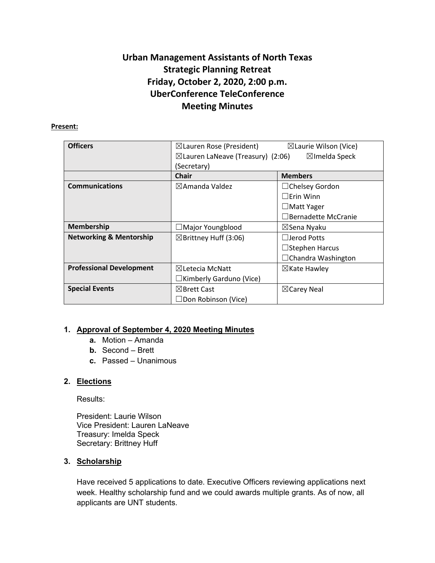# **Urban Management Assistants of North Texas Strategic Planning Retreat Friday, October 2, 2020, 2:00 p.m. UberConference TeleConference Meeting Minutes**

#### **Present:**

| <b>Officers</b>                    | $\boxtimes$ Lauren Rose (President)          | $\boxtimes$ Laurie Wilson (Vice) |
|------------------------------------|----------------------------------------------|----------------------------------|
|                                    | $\boxtimes$ Lauren LaNeave (Treasury) (2:06) | $\boxtimes$ Imelda Speck         |
|                                    | (Secretary)                                  |                                  |
|                                    | <b>Chair</b>                                 | <b>Members</b>                   |
| <b>Communications</b>              | $\boxtimes$ Amanda Valdez                    | $\Box$ Chelsey Gordon            |
|                                    |                                              | $\Box$ Erin Winn                 |
|                                    |                                              | $\Box$ Matt Yager                |
|                                    |                                              | $\Box$ Bernadette McCranie       |
| <b>Membership</b>                  | $\Box$ Major Youngblood                      | $\boxtimes$ Sena Nyaku           |
| <b>Networking &amp; Mentorship</b> | $\boxtimes$ Brittney Huff (3:06)             | $\Box$ Jerod Potts               |
|                                    |                                              | $\Box$ Stephen Harcus            |
|                                    |                                              | $\Box$ Chandra Washington        |
| <b>Professional Development</b>    | $\boxtimes$ Letecia McNatt                   | $\boxtimes$ Kate Hawley          |
|                                    | $\Box$ Kimberly Garduno (Vice)               |                                  |
| <b>Special Events</b>              | $\boxtimes$ Brett Cast                       | $\boxtimes$ Carey Neal           |
|                                    | $\Box$ Don Robinson (Vice)                   |                                  |

# **1. Approval of September 4, 2020 Meeting Minutes**

- **a.** Motion Amanda
- **b.** Second Brett
- **c.** Passed Unanimous

## **2. Elections**

Results:

President: Laurie Wilson Vice President: Lauren LaNeave Treasury: Imelda Speck Secretary: Brittney Huff

# **3. Scholarship**

Have received 5 applications to date. Executive Officers reviewing applications next week. Healthy scholarship fund and we could awards multiple grants. As of now, all applicants are UNT students.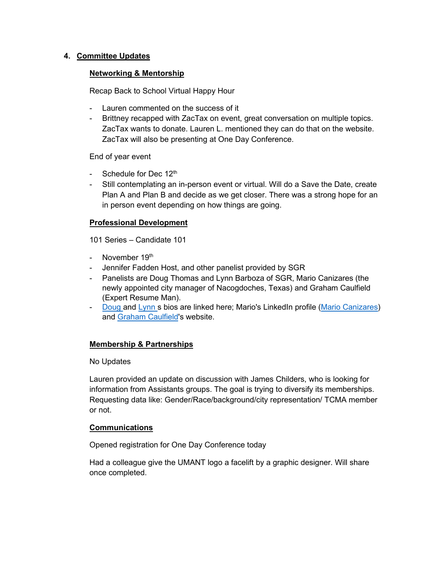## **4. Committee Updates**

## **Networking & Mentorship**

Recap Back to School Virtual Happy Hour

- Lauren commented on the success of it
- Brittney recapped with ZacTax on event, great conversation on multiple topics. ZacTax wants to donate. Lauren L. mentioned they can do that on the website. ZacTax will also be presenting at One Day Conference.

End of year event

- Schedule for Dec 12<sup>th</sup>
- Still contemplating an in-person event or virtual. Will do a Save the Date, create Plan A and Plan B and decide as we get closer. There was a strong hope for an in person event depending on how things are going.

## **Professional Development**

101 Series – Candidate 101

- November  $19<sup>th</sup>$
- Jennifer Fadden Host, and other panelist provided by SGR
- Panelists are Doug Thomas and Lynn Barboza of SGR, Mario Canizares (the newly appointed city manager of Nacogdoches, Texas) and Graham Caulfield (Expert Resume Man).
- [Doug](https://www.governmentresource.com/about-us/meet-the-team/doug-thomas) and [Lynn](https://www.governmentresource.com/about-us/meet-the-team/lynn-barboza) s bios are linked here; Mario's LinkedIn profile [\(Mario Canizares\)](https://www.linkedin.com/in/mario-canizares-0432217/) and [Graham Caulfield'](https://expertresumeman.com/)s website.

## **Membership & Partnerships**

#### No Updates

Lauren provided an update on discussion with James Childers, who is looking for information from Assistants groups. The goal is trying to diversify its memberships. Requesting data like: Gender/Race/background/city representation/ TCMA member or not.

## **Communications**

Opened registration for One Day Conference today

Had a colleague give the UMANT logo a facelift by a graphic designer. Will share once completed.